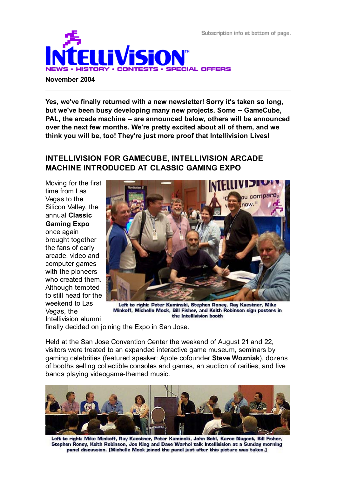Subscription info at bottom of page.



#### **November 2004**

**Yes, we've finally returned with a new newsletter! Sorry it's taken so long, but we've been busy developing many new projects. Some -- GameCube, PAL, the arcade machine -- are announced below, others will be announced over the next few months. We're pretty excited about all of them, and we think you will be, too! They're just more proof that Intellivision Lives!**

### **INTELLIVISION FOR GAMECUBE, INTELLIVISION ARCADE MACHINE INTRODUCED AT CLASSIC GAMING EXPO**

Moving for the first time from Las Vegas to the Silicon Valley, the annual **Classic Gaming Expo** once again brought together the fans of early arcade, video and computer games with the pioneers who created them. Although tempted to still head for the weekend to Las Vegas, the Intellivision alumni



Left to right: Peter Kaminski, Stephen Roney, Ray Kaestner, Mike Minkoff, Michelle Mock, Bill Fisher, and Keith Robinson sign posters in the Intellivision booth

finally decided on joining the Expo in San Jose.

Held at the San Jose Convention Center the weekend of August 21 and 22, visitors were treated to an expanded interactive game museum, seminars by gaming celebrities (featured speaker: Apple cofounder **Steve Wozniak**), dozens of booths selling collectible consoles and games, an auction of rarities, and live bands playing videogame-themed music.



Left to right: Mike Minkoff, Ray Kaestner, Peter Kaminski, John Sohl, Karen Nugent, Bill Fisher, Stephen Roney, Keith Robinson, Joe King and Dave Warhol talk Intellivision at a Sunday morning panel discussion. (Michelle Mock joined the panel just after this picture was taken.)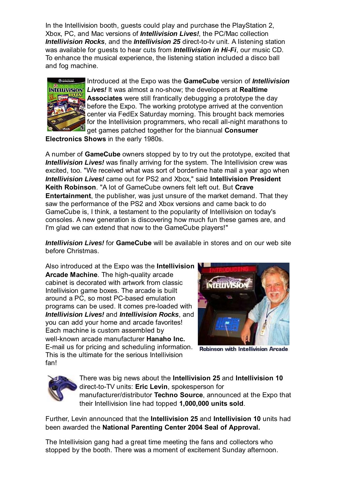In the Intellivision booth, guests could play and purchase the PlayStation 2, Xbox, PC, and Mac versions of *Intellivision Lives!*, the PC/Mac collection *Intellivision Rocks*, and the *Intellivision 25* direct-to-tv unit. A listening station was available for guests to hear cuts from *Intellivision in Hi-Fi*, our music CD. To enhance the musical experience, the listening station included a disco ball and fog machine.



Introduced at the Expo was the **GameCube** version of *Intellivision* **INTELLIVISION** *Lives!* It was almost a no-show; the developers at Realtime **Associates** were still frantically debugging a prototype the day before the Expo. The working prototype arrived at the convention center via FedEx Saturday morning. This brought back memories for the Intellivision programmers, who recall all-night marathons to get games patched together for the biannual **Consumer**

**Electronics Shows** in the early 1980s.

A number of **GameCube** owners stopped by to try out the prototype, excited that **Intellivision Lives!** was finally arriving for the system. The Intellivision crew was excited, too. "We received what was sort of borderline hate mail a year ago when *Intellivision Lives!* came out for PS2 and Xbox," said **Intellivision President Keith Robinson**. "A lot of GameCube owners felt left out. But **Crave Entertainment**, the publisher, was just unsure of the market demand. That they saw the performance of the PS2 and Xbox versions and came back to do GameCube is, I think, a testament to the popularity of Intellivision on today's consoles. A new generation is discovering how much fun these games are, and I'm glad we can extend that now to the GameCube players!"

*Intellivision Lives!* for **GameCube** will be available in stores and on our web site before Christmas.

Also introduced at the Expo was the **Intellivision Arcade Machine**. The high-quality arcade cabinet is decorated with artwork from classic Intellivision game boxes. The arcade is built around a PC, so most PC-based emulation programs can be used. It comes pre-loaded with *Intellivision Lives!* and *Intellivision Rocks*, and you can add your home and arcade favorites! Each machine is custom assembled by well-known arcade manufacturer **Hanaho Inc.** E-mail us for pricing and scheduling information. This is the ultimate for the serious Intellivision fan!



**Robinson with Intellivision Arcade** 



There was big news about the **Intellivision 25** and **Intellivision 10** direct-to-TV units: **Eric Levin**, spokesperson for manufacturer/distributor **Techno Source**, announced at the Expo that their Intellivision line had topped **1,000,000 units sold**.

Further, Levin announced that the **Intellivision 25** and **Intellivision 10** units had been awarded the **National Parenting Center 2004 Seal of Approval.**

The Intellivision gang had a great time meeting the fans and collectors who stopped by the booth. There was a moment of excitement Sunday afternoon.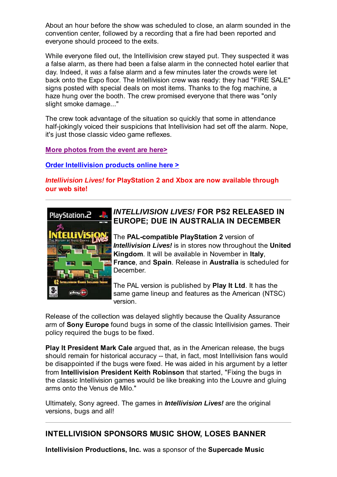About an hour before the show was scheduled to close, an alarm sounded in the convention center, followed by a recording that a fire had been reported and everyone should proceed to the exits.

While everyone filed out, the Intellivision crew stayed put. They suspected it was a false alarm, as there had been a false alarm in the connected hotel earlier that day. Indeed, it *was* a false alarm and a few minutes later the crowds were let back onto the Expo floor. The Intellivision crew was ready: they had "FIRE SALE" signs posted with special deals on most items. Thanks to the fog machine, a haze hung over the booth. The crew promised everyone that there was "only slight smoke damage..."

The crew took advantage of the situation so quickly that some in attendance half-jokingly voiced their suspicions that Intellivision had set off the alarm. Nope, it's just those classic video game reflexes.

**More photos from the event are here>**

**Order Intellivision products online here >**

*Intellivision Lives!* **for PlayStation 2 and Xbox are now available through our web site!**



# *INTELLIVISION LIVES!* **FOR PS2 RELEASED IN EUROPE; DUE IN AUSTRALIA IN DECEMBER**

The **PAL-compatible PlayStation 2** version of *Intellivision Lives!* is in stores now throughout the **United Kingdom**. It will be available in November in **Italy**, **France**, and **Spain**. Release in **Australia** is scheduled for **December** 

The PAL version is published by **Play It Ltd**. It has the same game lineup and features as the American (NTSC) version.

Release of the collection was delayed slightly because the Quality Assurance arm of **Sony Europe** found bugs in some of the classic Intellivision games. Their policy required the bugs to be fixed.

**Play It President Mark Cale** argued that, as in the American release, the bugs should remain for historical accuracy -- that, in fact, most Intellivision fans would be disappointed if the bugs were fixed. He was aided in his argument by a letter from **Intellivision President Keith Robinson** that started, "Fixing the bugs in the classic Intellivision games would be like breaking into the Louvre and gluing arms onto the Venus de Milo."

Ultimately, Sony agreed. The games in *Intellivision Lives!* are the original versions, bugs and all!

## **INTELLIVISION SPONSORS MUSIC SHOW, LOSES BANNER**

**Intellivision Productions, Inc.** was a sponsor of the **Supercade Music**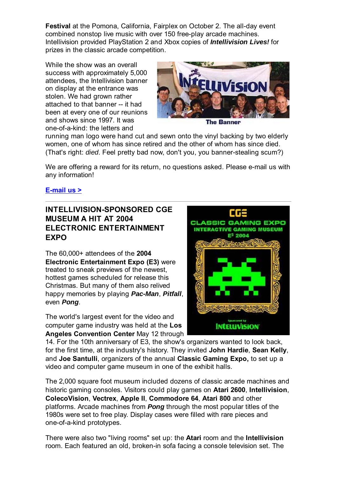**Festival** at the Pomona, California, Fairplex on October 2. The all-day event combined nonstop live music with over 150 free-play arcade machines. Intellivision provided PlayStation 2 and Xbox copies of *Intellivision Lives!* for prizes in the classic arcade competition.

While the show was an overall success with approximately 5,000 attendees, the Intellivision banner on display at the entrance was stolen. We had grown rather attached to that banner -- it had been at every one of our reunions and shows since 1997. It was one-of-a-kind: the letters and



**The Banner** 

running man logo were hand cut and sewn onto the vinyl backing by two elderly women, one of whom has since retired and the other of whom has since died. (That's right: *died*. Feel pretty bad now, don't you, you banner-stealing scum?)

We are offering a reward for its return, no questions asked. Please e-mail us with any information!

#### **E-mail us >**

# **INTELLIVISION-SPONSORED CGE MUSEUM A HIT AT 2004 ELECTRONIC ENTERTAINMENT EXPO**

The 60,000+ attendees of the **2004 Electronic Entertainment Expo (E3)** were treated to sneak previews of the newest, hottest games scheduled for release this Christmas. But many of them also relived happy memories by playing *Pac-Man*, *Pitfall*, even *Pong*.

The world's largest event for the video and computer game industry was held at the **Los Angeles Convention Center** May 12 through



14. For the 10th anniversary of E3, the show's organizers wanted to look back, for the first time, at the industry's history. They invited **John Hardie**, **Sean Kelly**, and **Joe Santulli**, organizers of the annual **Classic Gaming Expo,** to set up a video and computer game museum in one of the exhibit halls.

The 2,000 square foot museum included dozens of classic arcade machines and historic gaming consoles. Visitors could play games on **Atari 2600**, **Intellivision**, **ColecoVision**, **Vectrex**, **Apple II**, **Commodore 64**, **Atari 800** and other platforms. Arcade machines from *Pong* through the most popular titles of the 1980s were set to free play. Display cases were filled with rare pieces and one-of-a-kind prototypes.

There were also two "living rooms" set up: the **Atari** room and the **Intellivision** room. Each featured an old, broken-in sofa facing a console television set. The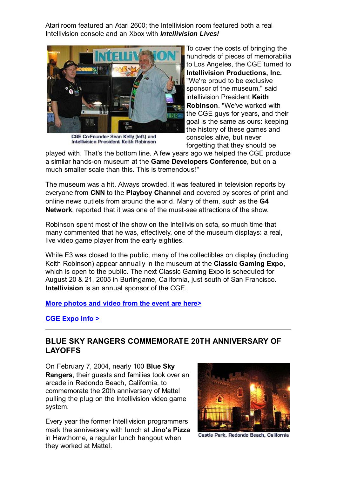Atari room featured an Atari 2600; the Intellivision room featured both a real Intellivision console and an Xbox with *Intellivision Lives!*



CGE Co-Founder Sean Kelly (left) and Intellivision President Keith Robinson

To cover the costs of bringing the hundreds of pieces of memorabilia to Los Angeles, the CGE turned to **Intellivision Productions, Inc.** "We're proud to be exclusive sponsor of the museum," said intellivision President **Keith Robinson**. "We've worked with the CGE guys for years, and their goal is the same as ours: keeping the history of these games and consoles alive, but never forgetting that they should be

played with. That's the bottom line. A few years ago we helped the CGE produce a similar hands-on museum at the **Game Developers Conference**, but on a much smaller scale than this. This is tremendous!"

The museum was a hit. Always crowded, it was featured in television reports by everyone from **CNN** to the **Playboy Channel** and covered by scores of print and online news outlets from around the world. Many of them, such as the **G4 Network**, reported that it was one of the must-see attractions of the show.

Robinson spent most of the show on the Intellivision sofa, so much time that many commented that he was, effectively, one of the museum displays: a real, live video game player from the early eighties.

While E3 was closed to the public, many of the collectibles on display (including Keith Robinson) appear annually in the museum at the **Classic Gaming Expo**, which is open to the public. The next Classic Gaming Expo is scheduled for August 20 & 21, 2005 in Burlingame, California, just south of San Francisco. **Intellivision** is an annual sponsor of the CGE.

#### **More photos and video from the event are here>**

**CGE Expo info >**

### **BLUE SKY RANGERS COMMEMORATE 20TH ANNIVERSARY OF LAYOFFS**

On February 7, 2004, nearly 100 **Blue Sky Rangers**, their guests and families took over an arcade in Redondo Beach, California, to commemorate the 20th anniversary of Mattel pulling the plug on the Intellivision video game system.

Every year the former Intellivision programmers mark the anniversary with lunch at **Jino's Pizza** in Hawthorne, a regular lunch hangout when they worked at Mattel.



Castle Park, Redondo Beach, California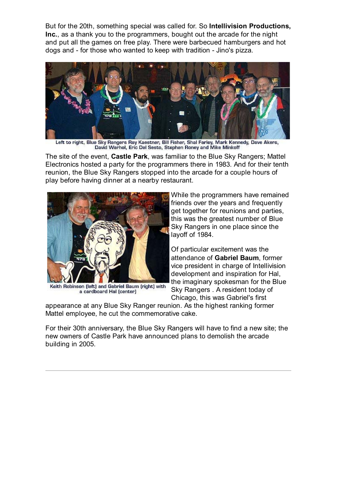But for the 20th, something special was called for. So **Intellivision Productions, Inc.**, as a thank you to the programmers, bought out the arcade for the night and put all the games on free play. There were barbecued hamburgers and hot dogs and - for those who wanted to keep with tradition - Jino's pizza.



Left to right, Blue Sky Rangers Ray Kaestner, Bill Fisher, Shal Farley, Mark Kennedy, Dave Akers, David Warhol, Eric Del Sesto, Stephen Roney and Mike Minkoff

The site of the event, **Castle Park**, was familiar to the Blue Sky Rangers; Mattel Electronics hosted a party for the programmers there in 1983. And for their tenth reunion, the Blue Sky Rangers stopped into the arcade for a couple hours of play before having dinner at a nearby restaurant.



Keith Robinson (left) and Gabriel Baum (right) with a cardboard Hal [center]

While the programmers have remained friends over the years and frequently get together for reunions and parties, this was the greatest number of Blue Sky Rangers in one place since the layoff of 1984.

Of particular excitement was the attendance of **Gabriel Baum**, former vice president in charge of Intellivision development and inspiration for Hal, the imaginary spokesman for the Blue Sky Rangers . A resident today of Chicago, this was Gabriel's first

appearance at any Blue Sky Ranger reunion. As the highest ranking former Mattel employee, he cut the commemorative cake.

For their 30th anniversary, the Blue Sky Rangers will have to find a new site; the new owners of Castle Park have announced plans to demolish the arcade building in 2005.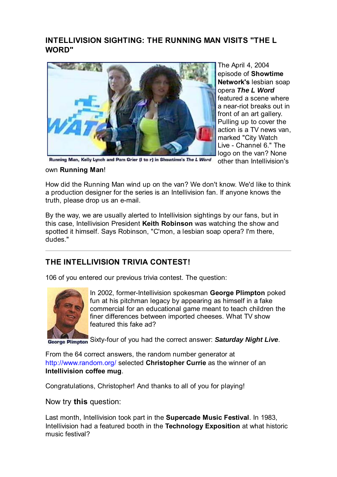## **INTELLIVISION SIGHTING: THE RUNNING MAN VISITS "THE L WORD"**



Running Man, Kelly Lynch and Pam Grier (I to r) in Showtime's The L Word

front of an art gallery. Pulling up to cover the action is a TV news van, marked "City Watch Live - Channel 6." The logo on the van? None The April 4, 2004 episode of **Showtime Network's** lesbian soap opera *The L Word* featured a scene where a near-riot breaks out in

other than Intellivision's

#### own **Running Man**!

How did the Running Man wind up on the van? We don't know. We'd like to think a production designer for the series is an Intellivision fan. If anyone knows the truth, please drop us an e-mail.

By the way, we are usually alerted to Intellivision sightings by our fans, but in this case, Intellivision President **Keith Robinson** was watching the show and spotted it himself. Says Robinson, "C'mon, a lesbian soap opera? I'm there, dudes."

## **THE INTELLIVISION TRIVIA CONTEST!**

106 of you entered our previous trivia contest. The question:



In 2002, former-Intellivision spokesman **George Plimpton** poked fun at his pitchman legacy by appearing as himself in a fake commercial for an educational game meant to teach children the finer differences between imported cheeses. What TV show featured this fake ad?

Sixty-four of you had the correct answer: *Saturday Night Live*.

From the 64 correct answers, the random number generator at http://www.random.org/ selected **Christopher Currie** as the winner of an **Intellivision coffee mug**.

Congratulations, Christopher! And thanks to all of you for playing!

### Now try **this** question:

Last month, Intellivision took part in the **Supercade Music Festival**. In 1983, Intellivision had a featured booth in the **Technology Exposition** at what historic music festival?